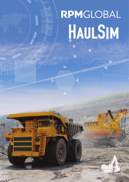# RPMGLOBAL HAULSIM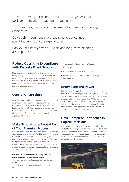Do you know if your planned haul route changes will make a positive or negative impact on production?

Is your existing fleet at optimum size, fully utilised and running efficiently?

Do you think you need more equipment, but cannot quantitatively justify the expenditure?

Can you accurately test your short and long-term planning assumptions?

# Reduce Operating Expenditure with Discrete Event Simulation

Mine haulage represents the highest cost component of any mining operation meaning optimisation of mine haulage fleet is paramount. HAULSIM and Discrete Event Simulation drive down operating costs through prediction of production, allowing users to take control of uncertainty in their mining operations.

- Truck speed (calibrated using GPS data)
- Road rules
- Haulage networks and road conditions
- Other infrastructure such as crushers, stockpiles and orepasses.

## Knowledge and Power

RPM has over 35 years of experience in developing mining simulation tools with origins in modelling truck and loader options over a single route. Integrating mining knowledge with powerful simulation capabilities, RPM are pioneers of simulation, providing the mining sector with its first industry-specific haulage simulation solution. Featuring the industry's largest equipment database, HAULSIM is a complete 3D haulage simulation solution.

# Have Complete Confidence in Capital Decisions

HAULSIM is the most powerful simulation tool on the market for modelling, analysing, visualising, and optimising mine haulage networks giving users complete confidence in the accuracy of mine plans. Decisions to invest capital in new infrastructure or equipment can be made with a clear view of predicted outcomes.



# Control Uncertainty

Providing more insight than ever before, users can control uncertainty in their mining operations with the use of HAULSIM to model and visualise every aspect of their haulage system in 3D. The impact of changes to mine haulage systems can be simulated and quantified rapidly, giving users confidence in their planning and design improvement decisions.

# Make Simulation a Pivotal Part of Your Planning Process

HAULSIM brings simulation in house, reducing reliance on costly specialist consultants. HAULSIM is fast to set up and easy to use - users can build models in a drag and drop environment and generate simulations rapidly. This means multiple scenarios can be explored at any given time. Minor incremental adjustments or major changes can be made with ease, and the visible impact of these changes is available within minutes.

### HAULSIM models incorporate real operational constraints and parameters including:

• Current fleet usage statistics such as breakdowns and rosters

• Modelling of congestion and queuing at sources and destinations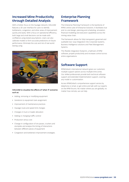# Increased Mine Productivity through Detailed Analysis

With a holistic focus on the haulage network, HAULSIM features a 3D user interface for users to identify bottlenecks, congestion, and other areas of improvement quickly and easily. With a focus on operational efficiency, both large and small decisions can be made with confidence using tested assumptions. Users can also calibrate models to form accurate predictions on future performance. Eliminate the cost and risk of real world testing using



### HAULSIM to visualise the effects of 'what-if' scenarios such as:

- Adding, removing or modifying equipment
- Variations to equipment task assignment
- Improvement of maintenance practices
- Haulage route and speed limit changes
- Changes in truck or loader allocation
- Adding or changing traffic control
- Production versus cost
- Change in configuration of ore passes, crushers and stockpiles and analyse the timing of interactions between different pieces of equipment
- Congestion and bottleneck improvement strategies.

# Enterprise Planning Framework

The Enterprise Planning Framework is the backbone of RPM's entire suite of Enterprise Solutions. It facilitates true end-to-end design, planning and scheduling, simulation, financial modelling and execution capabilities across the mining value chain.

The framework allows for fully transparent, governed and auditable two-way integration into Corporate Systems, Business Intelligence solutions and Fleet Management Systems.

This flexible integration footprint, a hallmark of RPM software, propels productivity and increases control across entire organisations.

# Software Support

RPMGlobal's international network gives our customers multiple support options across multiple time zones. Our skilled professionals provide both technical software support and extended implementation support, covering any model or customisation.

Access RPMGlobal's comprehensive support service by telephone or email, or get online and talk with our experts on the RPM forums. No matter where you are globally, no matter how remote, we can help.